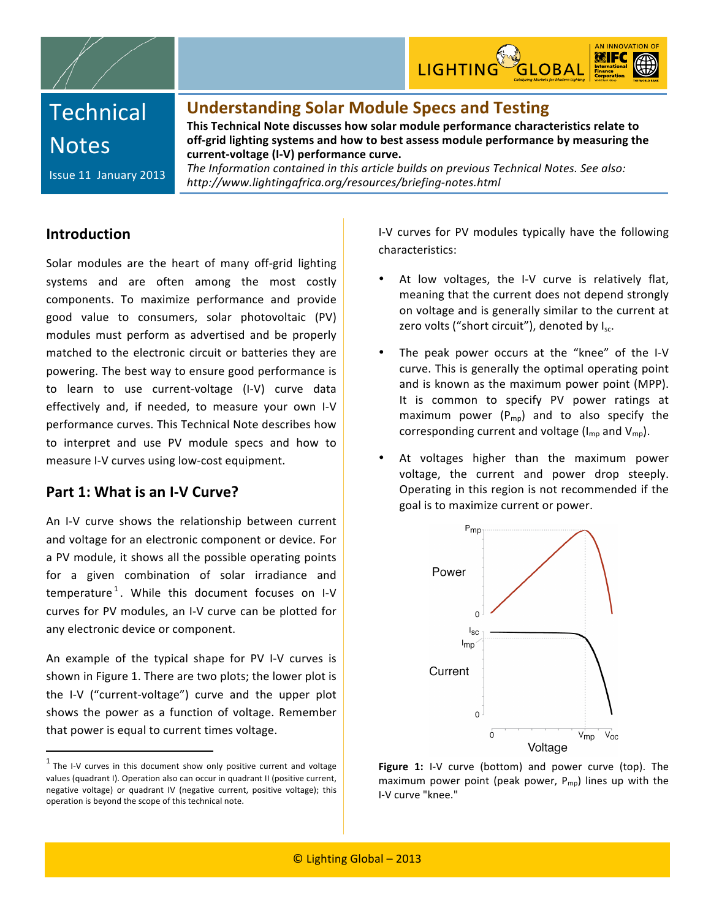



# **Technical Notes**

### **Understanding
Solar
Module
Specs
and
Testing**

**This
Technical
Note
discusses
how
solar
module
performance
characteristics
relate
to**  off-grid lighting systems and how to best assess module performance by measuring the **current‐voltage
(I‐V)
performance
curve.**

Issue
11

January
2013

The Information contained in this article builds on previous Technical Notes. See also: *http://www.lightingafrica.org/resources/briefing‐notes.html*

### **Introduction**

Solar modules are the heart of many off-grid lighting systems
 and
 are
 often among the
 most
 costly components.
 To
 maximize
 performance
 and
 provide good
 value
 to
 consumers,
 solar
 photovoltaic
 (PV) modules must
 perform
 as
 advertised
 and
 be
 properly matched to the electronic circuit or batteries they are powering. The best way to ensure good performance is to
 learn
 to use current‐voltage
 (I‐V)
 curve
 data effectively and, if needed, to measure your own I-V performance
curves.
This
Technical
Note
describes
how to interpret and use PV module specs and how to measure
I‐V
curves
using
low‐cost
equipment.

### Part 1: What is an I-V Curve?

An I‐V
 curve
 shows
 the
 relationship
 between
 current and voltage for an electronic component or device. For a PV module, it shows all the possible operating points for a given combination of solar irradiance and temperature<sup>1</sup>. While this document focuses on I-V curves
 for
PV
modules,
an
I‐V
curve
can
be
plotted
 for any
electronic
device
or
component.

An example of the typical shape for PV I-V curves is shown
in
Figure
1.
There
are
two
plots;
the
lower
plot
is the I‐V
 ("current‐voltage")
 curve
 and
 the upper plot shows
 the
 power
 as
 a
 function
 of
 voltage. Remember that
power
is
equal
to
current
times
voltage.

I-V curves for PV modules typically have the following characteristics:

- At low voltages, the I-V curve is relatively flat, meaning
that
the
current
does
not
depend
strongly on
voltage
and
is
generally
similar
to
the
current
at zero volts ("short circuit"), denoted by I<sub>sc</sub>.
- The peak power occurs at the "knee" of the I-V curve.
This
is
generally
the
optimal
operating
point and
is
known
as
the
maximum
power
point
 (MPP). It is common to specify PV power ratings at maximum power  $(P_{mp})$  and to also specify the corresponding current and voltage ( $I_{mp}$  and  $V_{mp}$ ).
- At voltages higher than the maximum power voltage,
 the
 current
 and
 power
 drop
 steeply. Operating in this region is not recommended if the goal
is
to
maximize
current
or
power.



Figure 1: I-V curve (bottom) and power curve (top). The maximum power point (peak power,  $P_{\text{mo}}$ ) lines up with the I‐V
curve
"knee."

 $1$  The I-V curves in this document show only positive current and voltage values
(quadrant
I).
Operation
also
can
occur
in
quadrant
II
(positive
current, negative
 voltage)
 or
 quadrant
 IV
 (negative
 current,
 positive
 voltage);
 this operation
is
beyond
the
scope
of
this
technical
note.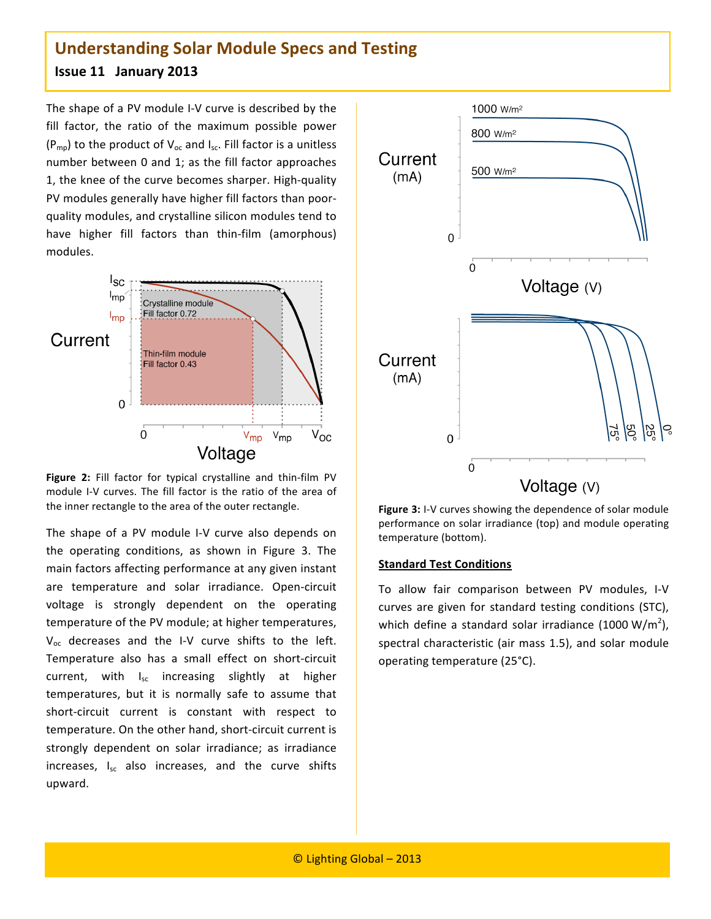The shape of a PV module I-V curve is described by the fill factor, the ratio of the maximum possible power  $(P_{mp})$  to the product of  $V_{oc}$  and  $I_{sc}$ . Fill factor is a unitless number
between
0
and
1;
as
 the
 fill
 factor
approaches 1,
the
knee
of
the
curve
becomes
sharper.
High‐quality PV modules generally have higher fill factors than poorquality
modules,
and
crystalline
silicon
modules
tend
to have higher fill factors than thin-film (amorphous) modules.



Figure 2: Fill factor for typical crystalline and thin-film PV module I-V curves. The fill factor is the ratio of the area of the
inner
rectangle
to
the
area
of
the
outer
rectangle.

The shape of a PV module I-V curve also depends on the
 operating
 conditions,
 as
 shown
 in Figure 3.
 The main
factors
affecting
performance
at
any
given
instant are
 temperature
 and
 solar irradiance. Open‐circuit voltage is strongly dependent on the operating temperature of the PV module; at higher temperatures, V<sub>oc</sub> decreases and the I-V curve shifts to the left. Temperature also has a small effect on short-circuit current, with I<sub>sc</sub> increasing slightly at higher temperatures,
 but
 it
 is
 normally
 safe
 to
 assume that short-circuit current is constant with respect to temperature. On the other hand, short-circuit current is strongly dependent on solar irradiance; as irradiance increases, I<sub>sc</sub> also increases, and the curve shifts upward.



Figure 3: I-V curves showing the dependence of solar module performance on solar irradiance (top) and module operating temperature
(bottom).

#### **Standard
Test
Conditions**

To
 allow
 fair
 comparison
 between
 PV
 modules, I‐V curves are given for standard testing conditions (STC), which define a standard solar irradiance (1000 W/m<sup>2</sup>), spectral characteristic (air mass 1.5), and solar module operating
temperature
(25°C).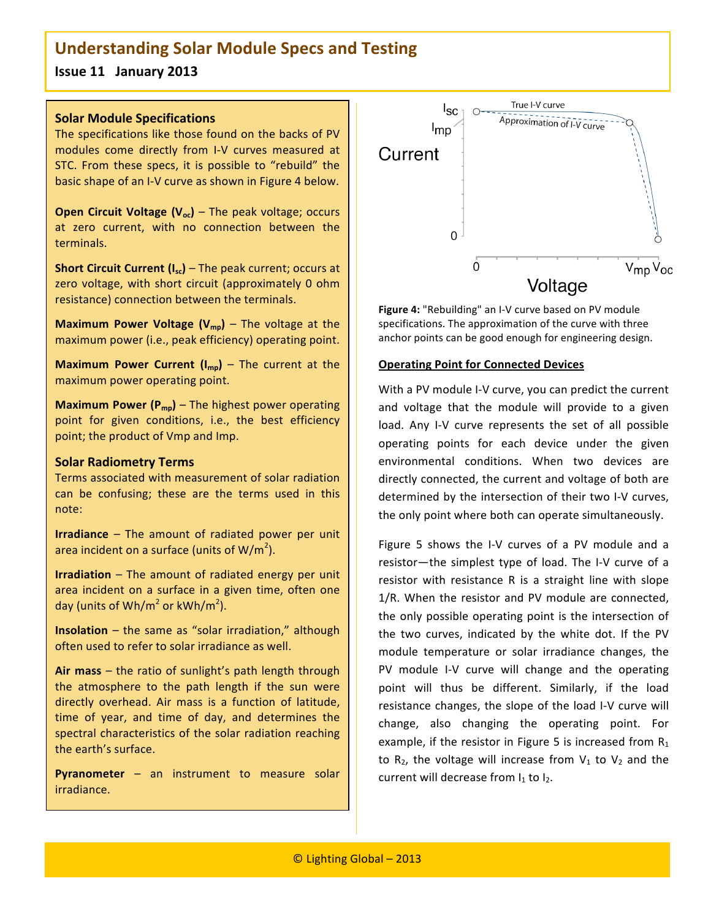**Issue
11

January
2013**

#### **Solar
Module
Specifications**

The
specifications
like
those
found
on
the
backs
of
PV modules
 come
 directly
 from I‐V
 curves
 measured
 at STC. From these specs, it is possible to "rebuild" the basic shape of an I-V curve as shown in Figure 4 below.

**Open Circuit Voltage (V<sub>oc</sub>) – The peak voltage; occurs** at
 zero
 current,
 with
 no
 connection
 between
 the terminals.

**Short Circuit Current (I<sub>sc</sub>) – The peak current; occurs at** zero voltage, with short circuit (approximately 0 ohm resistance)
connection
between
the
terminals.

**Maximum Power Voltage (V<sub>mp</sub>) – The voltage at the** maximum
power
(i.e.,
peak
efficiency)
operating
point.

**Maximum Power Current**  $(I_{\text{mo}})$  **– The current at the** maximum
power
operating
point.

**Maximum Power (P<sub>mp</sub>)** – The highest power operating point for given conditions, i.e., the best efficiency point;
the
product
of
Vmp
and
Imp.

#### **Solar
Radiometry
Terms**

Ϊ

Terms
associated
with
measurement
of
solar
radiation can
 be
 confusing;
 these
 are
 the
 terms
 used
 in
 this note:

**Irradiance** - The amount of radiated power per unit area incident on a surface (units of W/m<sup>2</sup>).

**Irradiation** - The amount of radiated energy per unit area
 incident
 on
 a
 surface
 in
 a
 given
 time,
 often
 one day (units of Wh/m<sup>2</sup> or kWh/m<sup>2</sup>).

**Insolation** – the same as "solar irradiation," although often
used
to
refer
to
solar
irradiance
as
well.

Air mass – the ratio of sunlight's path length through the atmosphere to the path length if the sun were directly overhead. Air mass is a function of latitude, time of year, and time of day, and determines the spectral
characteristics
of
 the
solar
 radiation
 reaching the
earth's
surface.

**Pyranometer** – an instrument to measure solar irradiance.



Figure 4: "Rebuilding" an I-V curve based on PV module specifications.
The
approximation
of
the
curve
with
three anchor
points
can
be
good
enough
for
engineering
design.

#### **Operating Point for Connected Devices**

With a PV module I-V curve, you can predict the current and voltage that the module will provide to a given load. Any I-V curve represents the set of all possible operating
 points
 for
 each
 device
 under
 the
 given environmental
 conditions. When
 two
 devices
 are directly connected, the current and voltage of both are determined by the intersection of their two I-V curves, the
only
point
where
both
can
operate
simultaneously.

Figure 5 shows the I-V curves of a PV module and a resistor-the simplest type of load. The I-V curve of a resistor with resistance R is a straight line with slope 1/R. When the resistor and PV module are connected, the
only
possible
operating
point
is
 the
intersection
of the two curves, indicated by the white dot. If the PV module temperature or solar irradiance changes, the PV module I-V curve will change and the operating point will thus be different. Similarly, if the load resistance changes, the slope of the load I-V curve will change, also changing the operating point. For example, if the resistor in Figure 5 is increased from  $R_1$ to  $R_2$ , the voltage will increase from  $V_1$  to  $V_2$  and the current will decrease from  $I_1$  to  $I_2$ .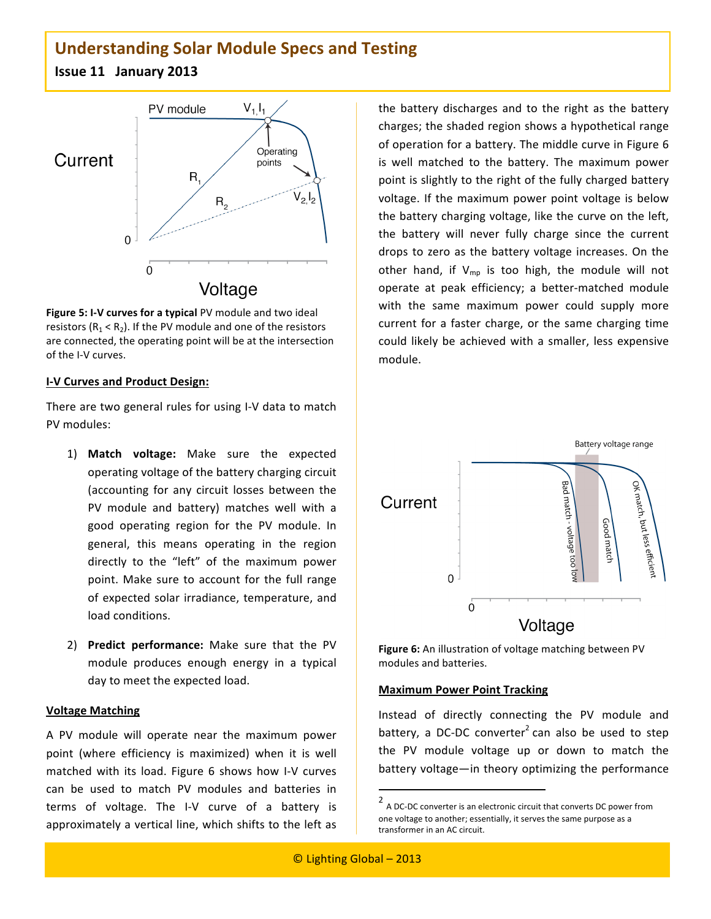

Figure 5: I-V curves for a typical PV module and two ideal resistors ( $R_1 < R_2$ ). If the PV module and one of the resistors are
connected,
the
operating
point
will
be
at
the
intersection of
the
I‐V
curves.

#### **I‐V
Curves
and
Product
Design:**

There are two general rules for using I-V data to match PV
modules:

- 1) **Match
 voltage:** Make
 sure
 the
 expected operating
voltage
of
the
battery
charging
circuit (accounting
 for
 any
 circuit
 losses
 between
 the PV module and battery) matches well with a good
 operating
 region
 for
 the
 PV
 module.
 In general,
 this
 means
 operating
 in
 the
 region directly to the "left" of the maximum power point. Make sure to account for the full range of
expected
 solar
irradiance,
 temperature,
and load
conditions.
- 2) Predict performance: Make sure that the PV module
 produces
 enough
 energy
 in
 a
 typical day
to
meet
the
expected
load.

#### **Voltage
Matching**

A PV module will operate near the maximum power point (where efficiency is maximized) when it is well matched with its load. Figure 6 shows how I-V curves can
 be
 used
 to
 match
 PV
 modules
 and
 batteries
 in terms of voltage. The I-V curve of a battery is approximately a vertical line, which shifts to the left as

the battery discharges and to the right as the battery charges;
the
shaded
region
shows
a
hypothetical
range of operation for a battery. The middle curve in Figure 6 is
 well
 matched
 to
 the
 battery.
 The
 maximum
 power point is slightly to the right of the fully charged battery voltage. If the maximum power point voltage is below the
battery
charging
voltage,
like
the
curve
on
the
left, the battery
 will
 never
 fully
 charge
 since
 the
 current drops to zero as the battery voltage increases. On the other hand, if  $V_{mp}$  is too high, the module will not operate
 at
 peak
 efficiency;
 a
 better‐matched
 module with the same maximum power could supply more current for a faster charge, or the same charging time could likely be achieved with a smaller, less expensive module.



Figure 6: An illustration of voltage matching between PV modules
and
batteries.

#### **Maximum
Power
Point
Tracking**

<u> 1989 - Johann Stein, fransk politik (d. 1989)</u>

Instead
 of
 directly
 connecting
 the
 PV
 module
 and battery, a DC-DC converter<sup>2</sup> can also be used to step the PV module voltage up or down to match the battery
voltage—in
 theory
optimizing
 the
performance

<sup>2</sup> A
DC‐DC
converter
is
an
electronic
circuit
that
converts
DC
power
from one
voltage
to
another;
essentially,
it
serves
the
same
purpose
as
a transformer
in
an
AC
circuit.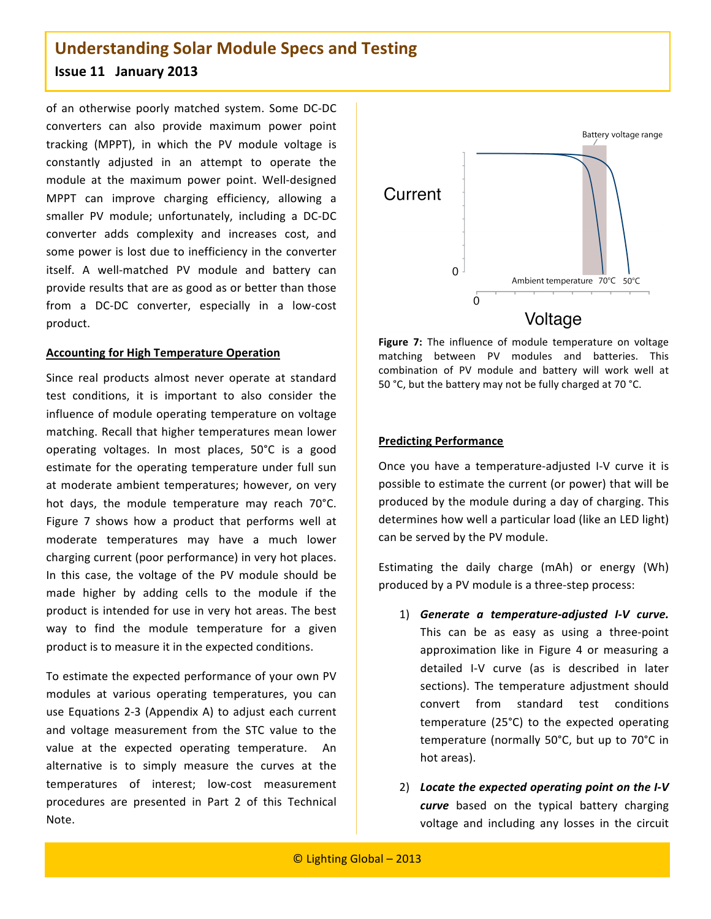of
 an
 otherwise
 poorly
 matched
 system. Some
 DC‐DC converters
 can also provide
 maximum
 power
 point tracking
 (MPPT),
 in
 which
 the
 PV
 module
 voltage
 is constantly
 adjusted
 in
 an
 attempt
 to
 operate
 the module
 at
 the
 maximum
 power
 point.
 Well‐designed MPPT can improve charging efficiency, allowing a smaller PV module; unfortunately, including a DC-DC converter
 adds
 complexity
 and
 increases
 cost,
 and some
power
is
lost
due
to
inefficiency
in
the
converter itself. A well-matched PV module and battery can provide
results
that
are
as
good
as
or
better
than
those from a DC-DC converter, especially in a low-cost product.

#### **Accounting
for
High
Temperature
Operation**

Since
 real
 products almost
 never
 operate
 at
standard test conditions, it is important to also consider the influence
of
module
operating
 temperature
on
voltage matching. Recall that higher temperatures mean lower operating
 voltages. In
 most
 places,
 50°C
 is
 a
 good estimate for the operating temperature under full sun at
moderate
 ambient
 temperatures;
 however,
on very hot days, the module temperature may reach 70°C. Figure 7 shows how a product that performs well at moderate
 temperatures may
 have
 a
 much
 lower charging
current
(poor
performance) in
very
hot
places. In this case, the voltage of the PV module should be made higher by adding cells to the module if the product
is
intended
 for
use
in
very
hot
areas.
The
best way to find the module temperature for a given product
is
to
measure
it
in
the
expected
conditions.

To
estimate
the
expected
performance
of
your
own
PV modules
 at
 various
 operating
 temperatures,
 you
 can use
Equations
2‐3
 (Appendix
A)
 to
adjust
each
 current and
 voltage
 measurement
 from
 the
 STC
 value
 to
 the value at the expected operating temperature. An alternative is to simply measure the curves at the temperatures
 of
 interest;
 low‐cost
 measurement procedures
 are
 presented
 in
 Part
 2
 of
 this Technical Note.



Figure 7: The influence of module temperature on voltage matching
 between
 PV
 modules
 and
 batteries.
 This combination of PV module and battery will work well at 50 °C, but the battery may not be fully charged at 70 °C.

#### **Predicting
Performance**

Once you have a temperature-adjusted I-V curve it is possible to estimate the current (or power) that will be produced by the module during a day of charging. This determines how well a particular load (like an LED light) can
be
served
by
the
PV
module.

Estimating the daily charge (mAh) or energy (Wh) produced by a PV module is a three-step process:

- 1) *Generate a
 temperature‐adjusted I‐V
 curve.* This can be as easy as using a three-point approximation like in Figure 4 or measuring a detailed I‐V
 curve
 (as
 is
 described
 in
 later sections).
 The
 temperature
 adjustment
 should convert
 from
 standard
 test
 conditions temperature
 (25°C)
 to
 the
 expected
 operating temperature
 (normally
 50°C,
 but
 up
 to
 70°C
in hot
areas).
- 2) *Locate
the
expected
operating
point
on
the
I‐V* curve based on the typical battery charging voltage and including any losses in the circuit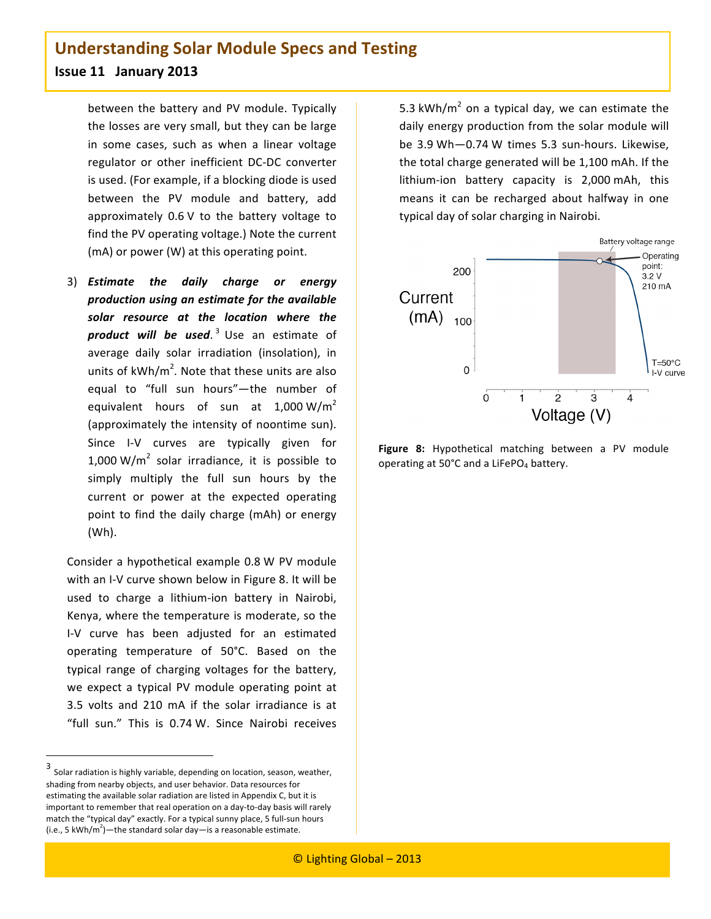between
 the
 battery
 and
 PV
module. Typically the
losses
are
very
small,
but
they
can
be
large in some cases, such as when a linear voltage regulator
 or
 other
 inefficient
 DC‐DC
 converter is
used.
(For
example,
if
a
blocking
diode
is
used between
 the
 PV
 module
 and
 battery,
 add approximately 0.6 V to the battery voltage to find
the
PV
operating
voltage.)
Note
the
current (mA)
or
power
(W)
at
this
operating
point.

3) *Estimate
 the
 daily
 charge
 or
 energy production
using
an
estimate
for
the
available solar resource at
 the
 location
 where
 the product
 will
 be used*. <sup>3</sup> Use
 an
 estimate
 of average daily solar irradiation (insolation), in units of  $kWh/m^2$ . Note that these units are also equal to "full sun hours"-the number of equivalent hours of sun at  $1,000 \text{ W/m}^2$ (approximately the intensity of noontime sun). Since I-V curves are typically given for 1,000 W/ $m^2$  solar irradiance, it is possible to simply multiply the full sun hours by the current or power at the expected operating point to find the daily charge (mAh) or energy (Wh).

Consider
a
hypothetical
example
0.8 W
PV
module with an I-V curve shown below in Figure 8. It will be used
 to
 charge
 a
 lithium‐ion
 battery
 in
 Nairobi, Kenya,
where
the
temperature
is
moderate,
so
the I‐V
 curve
 has
 been
 adjusted
 for
 an
 estimated operating
 temperature
 of
 50°C. Based
 on
 the typical
 range
 of
 charging
 voltages
 for
 the
 battery, we expect a typical PV module operating point at 3.5 volts and 210 mA if the solar irradiance is at "full sun." This is 0.74 W. Since Nairobi receives

5.3 kWh/ $m^2$  on a typical day, we can estimate the daily
energy
production
 from
the
solar
module
will be
 3.9 Wh—0.74 W
times
 5.3
 sun‐hours.
 Likewise, the
total
charge
generated
will
be
1,100 mAh.
If
the lithium-ion battery capacity is 2,000 mAh, this means
 it
 can
 be
 recharged
 about
 halfway
 in
 one typical
day
of
solar
charging
in
Nairobi.



**Figure 8:** Hypothetical matching between a PV module operating
at
50°C
and
a
LiFePO4
battery.

<sup>3</sup> Solar
radiation
is
highly
variable,
depending
on
location,
season,
weather, shading
from
nearby
objects,
and
user
behavior.
Data
resources
for estimating the available solar radiation are listed in Appendix C, but it is important to remember that real operation on a day-to-day basis will rarely match the "typical day" exactly. For a typical sunny place, 5 full-sun hours (i.e., 5 kWh/m<sup>2</sup>)—the standard solar day—is a reasonable estimate.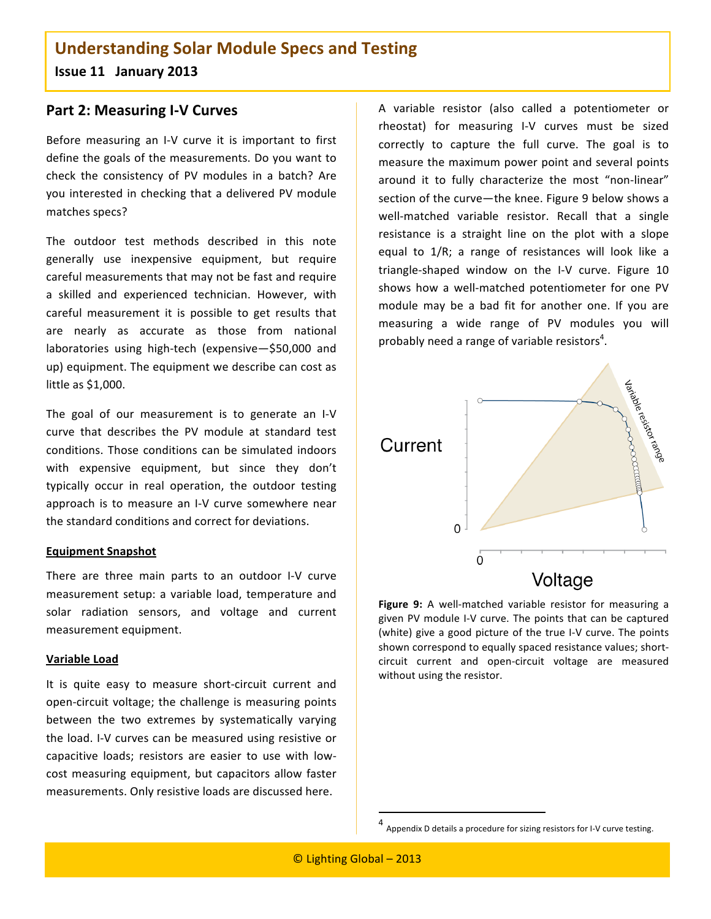### **Part
2:
Measuring
I‐V
Curves**

Before measuring an I-V curve it is important to first define the goals of the measurements. Do you want to check
 the
 consistency
 of
 PV
 modules
 in
 a
 batch?
 Are you
interested
in
 checking
 that
a
 delivered
 PV
module matches
specs?

The
 outdoor
 test
 methods
 described
 in
 this
 note generally use inexpensive
 equipment,
 but
 require careful
measurements
that
may
not
be
fast
and
require a
 skilled
 and
 experienced
 technician.
 However,
 with careful measurement it is possible to get results that are
 nearly
 as
 accurate
 as
 those
 from
 national laboratories using high-tech (expensive-\$50,000 and up) equipment. The equipment we describe can cost as little
as
\$1,000.

The goal of our measurement is to generate an I-V curve
 that
 describes
 the
 PV
 module
 at
 standard
 test conditions. Those conditions can be simulated indoors with expensive equipment, but since they don't typically
 occur
 in
 real
 operation,
 the
 outdoor
 testing approach is to measure an I-V curve somewhere near the
standard
conditions
and
correct
for
deviations.

#### **Equipment
Snapshot**

There are three main parts to an outdoor I-V curve measurement setup: a variable load, temperature and solar
 radiation sensors, and
 voltage
 and
 current measurement
equipment.

#### **Variable
Load**

It is quite easy to measure short-circuit current and open‐circuit
voltage;
 the
challenge
is
measuring
points between
 the
 two
 extremes
 by
 systematically
 varying the
load.
I‐V
curves
can
be
measured
using
resistive
or capacitive
 loads;
 resistors
 are
 easier to
 use
 with
 low‐ cost
measuring
equipment,
 but
 capacitors
allow
 faster measurements.
Only
resistive
loads
are
discussed
here.

A
 variable
 resistor
 (also
 called
 a
 potentiometer
 or rheostat) for
 measuring I‐V
 curves must
 be
 sized correctly
 to
 capture
 the
 full curve. The
 goal
 is
 to measure
the
maximum
power
point
and
several
points around
 it
 to
 fully
 characterize
 the
 most
 "non‐linear" section of the curve-the knee. Figure 9 below shows a well-matched variable resistor. Recall that a single resistance is a straight line on the plot with a slope equal to 1/R; a range of resistances will look like a triangle-shaped window on the I-V curve. Figure 10 shows how a well-matched potentiometer for one PV module may be a bad fit for another one. If you are measuring a wide range of PV modules you will probably need a range of variable resistors<sup>4</sup>.



Figure 9: A well-matched variable resistor for measuring a given
PV
module
I‐V
curve.
The
points
 that
can
be
captured (white) give a good picture of the true I-V curve. The points shown correspond to equally spaced resistance values; shortcircuit
 current
 and
 open‐circuit
 voltage
 are
 measured without using the resistor.

<u> 1989 - Johann Stein, fransk politik (d. 1989)</u>

<sup>4</sup> Appendix
D
details
a
procedure
for
sizing
resistors
for
I‐V
curve
testing.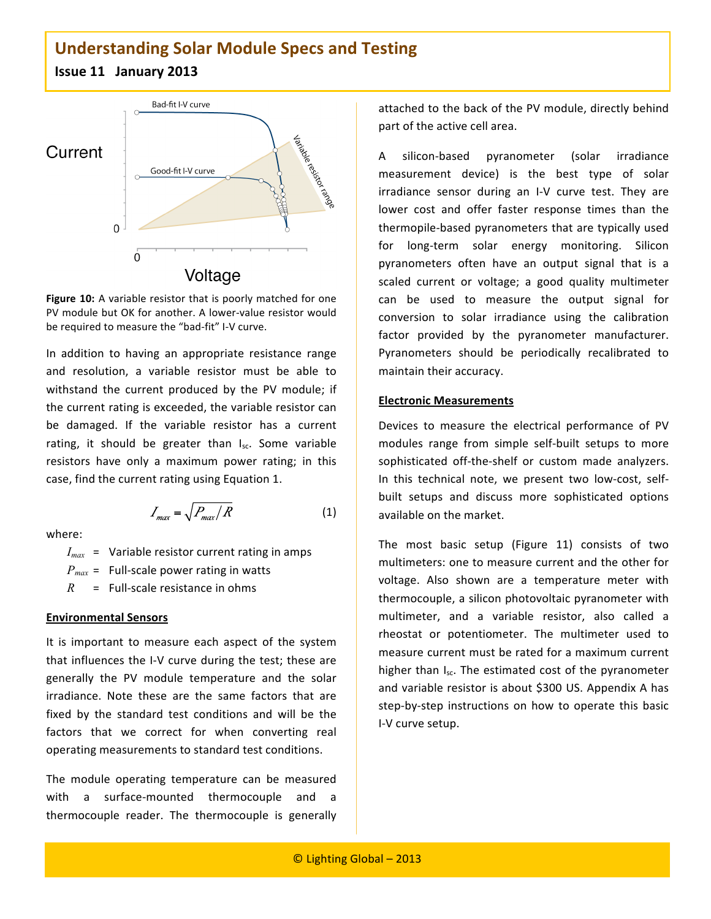

Figure 10: A variable resistor that is poorly matched for one PV module but OK for another. A lower-value resistor would be required to measure the "bad-fit" I-V curve.

In addition to having an appropriate resistance range and
 resolution,
 a
 variable
 resistor
 must
 be
 able
 to withstand the current produced by the PV module; if the
current
rating
is
exceeded,
the
variable
resistor
can be
 damaged.
 If
 the
 variable
 resistor
 has
 a
 current rating, it should be greater than I<sub>sc</sub>. Some variable resistors have only a maximum power rating; in this case,
find
the
current
rating
using
Equation
1.

$$
I_{max} = \sqrt{P_{max}/R}
$$
 (1)

where:

 $I_{max}$  = Variable resistor current rating in amps

 $P_{max}$  = Full-scale power rating in watts

 $R =$  Full-scale resistance in ohms

#### **Environmental
Sensors**

It is important to measure each aspect of the system that influences the I-V curve during the test; these are generally
 the
 PV
 module
 temperature
 and
 the solar irradiance. Note these are the same factors that are fixed by the standard test conditions and will be the factors that we correct for when converting real operating
measurements
to
standard
test
conditions.

The
 module
 operating
 temperature
 can
 be
 measured with a surface-mounted thermocouple and a thermocouple reader. The thermocouple is generally attached
to
the
back
of
the
PV
module,
directly
behind part
of
the
active
cell
area.

A
 silicon‐based
 pyranometer
 (solar irradiance measurement
 device)
 is
 the
 best
 type
 of
 solar irradiance sensor during an I-V curve test. They are lower cost and offer faster response times than the thermopile‐based pyranometers
that
are
typically
used for long-term solar energy monitoring. Silicon pyranometers often have an output signal that is a scaled current or voltage; a good quality multimeter can
 be
 used
 to
 measure
 the
 output
 signal
 for conversion to solar irradiance using the calibration factor provided by the pyranometer manufacturer. Pyranometers should be periodically recalibrated to maintain
their
accuracy.

#### **Electronic
Measurements**

Devices to measure the electrical performance of PV modules range from
 simple
 self‐built
 setups
 to
 more sophisticated off-the-shelf or custom made analyzers. In this technical note, we present two low-cost, selfbuilt
 setups
 and
 discuss
 more
 sophisticated
 options available
on
the
market.

The
 most
 basic
 setup
 (Figure 11)
 consists
 of two multimeters: one to measure current and the other for voltage. Also shown are a temperature meter with thermocouple,
a
silicon
photovoltaic
pyranometer
with multimeter, and a variable resistor, also called a rheostat
 or
 potentiometer.
 The
 multimeter
 used
 to measure current must be rated for a maximum current higher than I<sub>sc</sub>. The estimated cost of the pyranometer and variable resistor is about \$300 US. Appendix A has step-by-step instructions on how to operate this basic I‐V
curve
setup.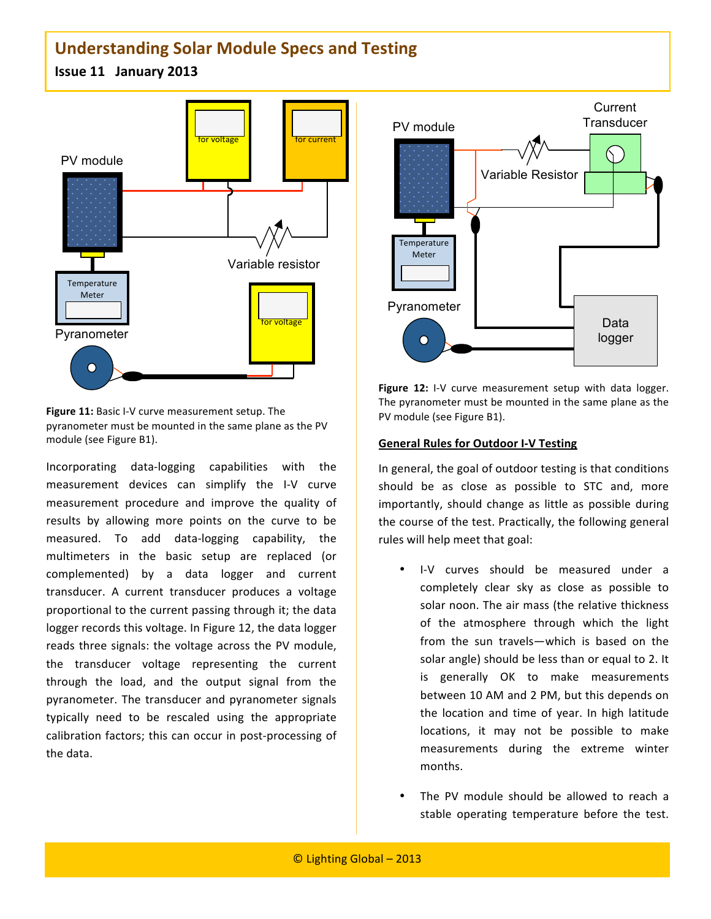**Issue
11

January
2013**



**Figure 11:** Basic I-V curve measurement setup. The pyranometer
must
be
mounted
in
the
same
plane
as
the
PV module
(see
Figure
B1).

Incorporating
 data‐logging
 capabilities
 with
 the measurement
 devices
 can
 simplify
 the I‐V
 curve measurement
 procedure
 and
 improve
 the
 quality
 of results by allowing more points on the curve to be measured. To add data-logging capability, the multimeters
 in
 the
 basic
 setup
 are
 replaced
 (or complemented)
 by
 a
 data
 logger
 and
 current transducer. A current transducer produces a voltage proportional to the current passing through it; the data logger records this voltage. In Figure 12, the data logger reads three signals: the voltage across the PV module, the
 transducer
 voltage
 representing
 the
 current through the load, and the output signal from the pyranometer.
The
 transducer
and
 pyranometer
 signals typically need to be rescaled using the appropriate calibration
 factors;
 this
can
occur
in
post‐processing
of the
data.



Figure 12: I-V curve measurement setup with data logger. The
pyranometer
must
be
mounted
in
the
same
plane
as
the PV
module
(see
Figure
B1).

#### **General
Rules
for
Outdoor
I‐V
Testing**

In
general,
the
goal
of
outdoor
testing
is
that
conditions should be as close as possible to STC and, more importantly, should change as little as possible during the course of the test. Practically, the following general rules
will
help
meet
that
goal:

- I-V curves should be measured under a completely clear sky as close as possible to solar
noon.
The
air
mass
(the
relative
thickness of the atmosphere through which the light from the sun travels-which is based on the solar angle) should be less than or equal to 2. It is
 generally
 OK
 to
 make
 measurements between
10
AM
and
2
PM,
but
this
depends
on the
 location
 and
 time
 of
 year.
 In
 high
 latitude locations, it may not be possible to make measurements
 during
 the
 extreme
 winter months.
- The PV module should be allowed to reach a stable
 operating
 temperature
 before
 the
 test.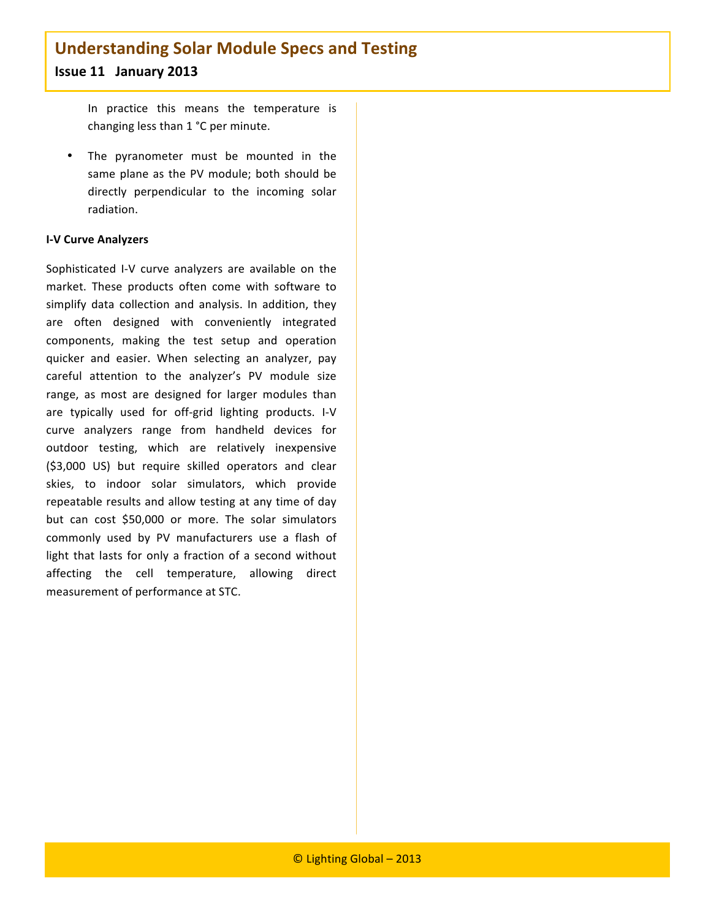In
 practice
 this
 means
 the
 temperature
 is changing
less
than
1 °C
per
minute.

• The pyranometer must be mounted in the same
 plane
as
 the
 PV
module; both
 should
 be directly
 perpendicular
 to
 the
 incoming
 solar radiation.

#### **I‐V
Curve
Analyzers**

Sophisticated I-V curve analyzers are available on the market. These products often come with software to simplify data collection and analysis. In addition, they are
 often
 designed
 with
 conveniently
 integrated components,
 making
 the
 test
 setup
 and
 operation quicker
 and
 easier.
 When
 selecting
 an
 analyzer,
 pay careful
 attention
 to
 the
 analyzer's
 PV
 module
 size range, as most are designed for larger modules than are typically used for off-grid lighting products. I-V curve analyzers range from handheld devices for outdoor
 testing,
 which
 are
 relatively
 inexpensive (\$3,000 US) but require skilled operators and clear skies,
 to
 indoor
 solar
 simulators,
 which
 provide repeatable results and allow testing at any time of day but can cost \$50,000 or more. The solar simulators commonly
 used
 by
 PV
 manufacturers
 use
 a
 flash
 of light that lasts for only a fraction of a second without affecting
 the
 cell
 temperature,
 allowing
 direct measurement
of
performance
at
STC.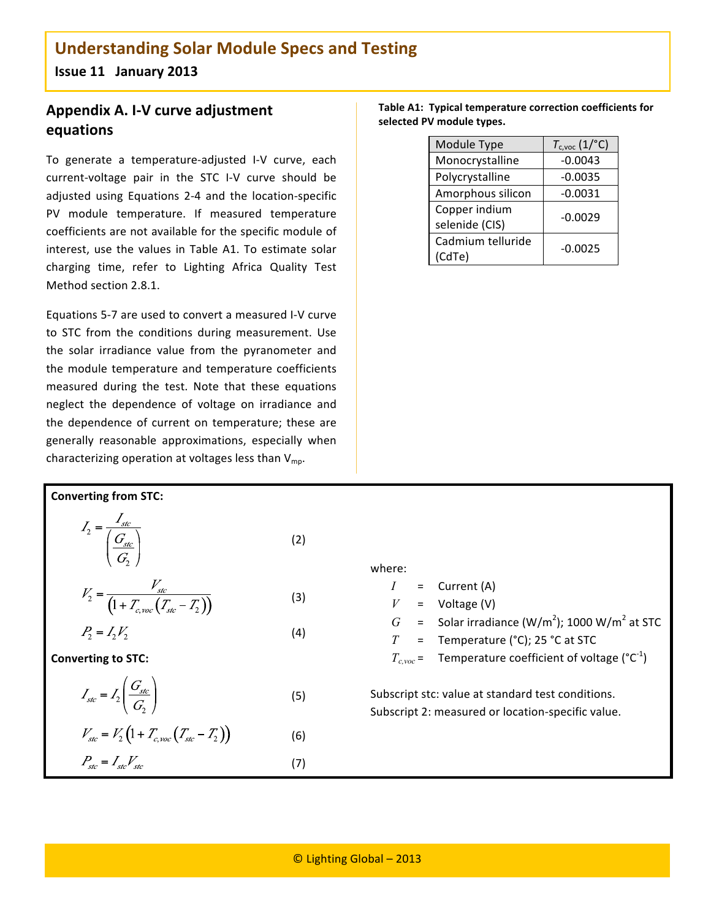### **Appendix
A.
I‐V
curve
adjustment equations**

To generate a temperature-adjusted I-V curve, each current-voltage pair in the STC I-V curve should be adjusted
 using
 Equations
 2‐4
 and
 the
 location‐specific PV
 module
 temperature. If
 measured
 temperature coefficients
are
not
available
for
the
specific
module
of interest, use the values in Table A1. To estimate solar charging
 time,
 refer
 to
 Lighting
 Africa
 Quality
 Test Method
section
2.8.1.

Equations
5‐7
are
used
to
convert
a
measured
I‐V
curve to
 STC
 from
 the
 conditions
 during
 measurement. Use the solar irradiance value from the pyranometer and the
module
 temperature
and
 temperature
 coefficients measured during the test. Note that these equations neglect the dependence of voltage on irradiance and the
 dependence
 of
 current
 on
 temperature;
 these
 are generally
 reasonable
 approximations,
 especially
 when characterizing operation at voltages less than  $V_{mp}$ .

|                           | Table A1: Typical temperature correction coefficients for |
|---------------------------|-----------------------------------------------------------|
| selected PV module types. |                                                           |

| Module Type                     | $T_{c,voc}$ (1/°C) |
|---------------------------------|--------------------|
| Monocrystalline                 | $-0.0043$          |
| Polycrystalline                 | $-0.0035$          |
| Amorphous silicon               | $-0.0031$          |
| Copper indium<br>selenide (CIS) | $-0.0029$          |
| Cadmium telluride<br>(CdTe)     | $-0.0025$          |

**Converting
from
STC:**

$$
I_2 = \frac{I_{\text{src}}}{\left(\frac{G_{\text{src}}}{G_2}\right)}
$$
(2)

$$
V_2 = \frac{V_{\text{src}}}{\left(1 + T_{\text{c,voc}}\left(T_{\text{src}} - T_2\right)\right)}
$$
(3)

$$
P_2 = I_2 V_2 \tag{4}
$$

**Converting
to
STC:**

 $P_{\scriptscriptstyle stc}$  =  $I_{\scriptscriptstyle stc}V_{\scriptscriptstyle stc}$ 

$$
I_{\text{src}} = I_2 \left( \frac{G_{\text{src}}}{G_2} \right) \tag{5}
$$

$$
V_{\text{stc}} = V_2 \left( 1 + T_{c,\text{vac}} \left( T_{\text{stc}} - T_2 \right) \right) \tag{6}
$$

*I* = Current
(A) *V* = Voltage
(V) *G* = Solar
irradiance
(W/m<sup>2</sup> );
1000
W/m<sup>2</sup> at
STC *T* = Temperature
(°C);
25
°C
at
STC *Tc,voc* = Temperature
coefficient
of
voltage
(°C‐1 ) Subscript
stc:
value
at
standard
test
conditions. Subscript
2:
measured
or
location‐specific
value.

where:

(7)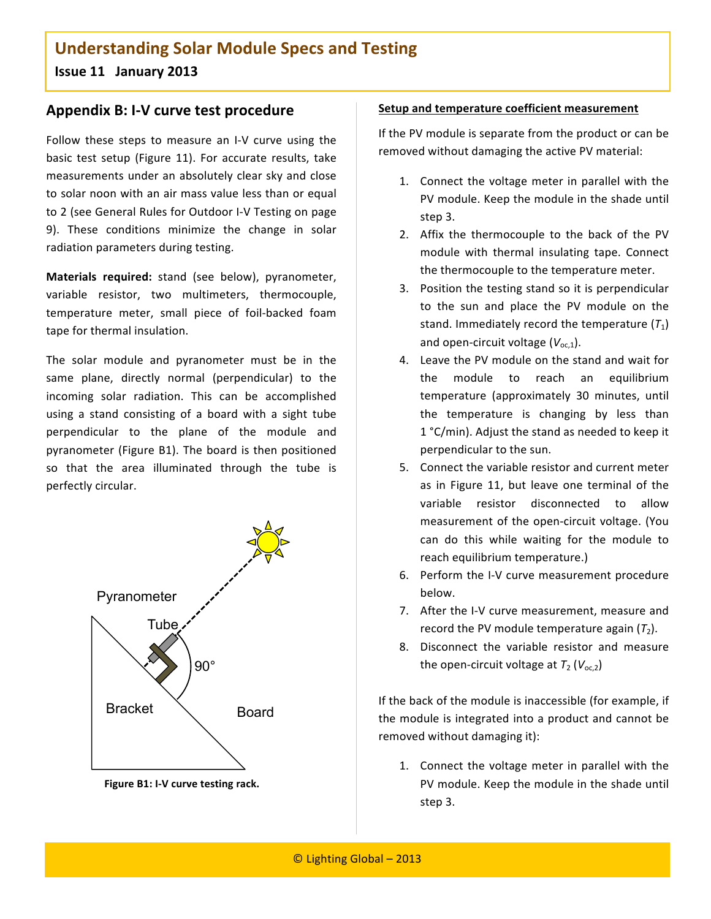**Issue
11

January
2013**

### **Appendix
B:
I‐V
curve
test
procedure**

Follow these steps to measure an I-V curve using the basic test setup (Figure 11). For accurate results, take measurements
under
an
absolutely
clear
sky
and
close to solar noon with an air mass value less than or equal to
2
(see
General
Rules
for
Outdoor
I‐V
Testing
on
page 9). These conditions minimize the change in solar radiation
parameters
during
testing.

Materials required: stand (see below), pyranometer, variable
 resistor,
 two
 multimeters,
 thermocouple, temperature
 meter,
 small
 piece
 of
 foil‐backed
 foam tape
for
thermal
insulation.

The solar module and pyranometer must be in the same
 plane,
 directly
 normal
 (perpendicular)
 to
 the incoming
 solar
 radiation.
 This
 can
 be
 accomplished using a stand consisting of a board with a sight tube perpendicular to the plane of the module and pyranometer
 (Figure
B1).
The
board
is
 then
positioned so that the area illuminated through the tube is perfectly
circular.



Figure B1: I-V curve testing rack.

#### **Setup
and
temperature
coefficient
measurement**

If the PV module is separate from the product or can be removed
without
damaging
the
active
PV
material:

- 1. Connect the voltage meter in parallel with the PV module. Keep the module in the shade until step
3.
- 2. Affix the thermocouple to the back of the PV module
 with
 thermal
 insulating
 tape. Connect the
thermocouple
to
the
temperature
meter.
- 3. Position
the
testing
stand
so
it
is
perpendicular to the sun and place the PV module on the stand. Immediately record the temperature  $(T_1)$ and open-circuit voltage (V<sub>oc.1</sub>).
- 4. Leave
the
PV
module
on
the
stand
and
wait
for the
 module
 to
 reach
 an
 equilibrium temperature
 (approximately
 30
 minutes,
 until the
 temperature
 is
 changing
 by
 less
 than 1 °C/min).
Adjust
the
stand
as
needed
to
keep
it perpendicular
to
the
sun.
- 5. Connect
the
variable
resistor
and
current meter as in Figure 11, but leave one terminal of the variable
 resistor
 disconnected
 to
 allow measurement
of
 the
open‐circuit
voltage.
 (You can
 do
 this
 while
 waiting
 for
 the
 module
 to reach
equilibrium
temperature.)
- 6. Perform
the
I‐V
curve
measurement
procedure below.
- 7. After
the
I‐V
curve
measurement,
measure
and record the PV module temperature again  $(T_2)$ .
- 8. Disconnect
 the
 variable
 resistor
 and
 measure the open-circuit voltage at  $T_2$  ( $V_{\text{oc,2}}$ )

If the back of the module is inaccessible (for example, if the
module
is
integrated
into
a
product
and
cannot
be removed
without
damaging
it):

1. Connect the voltage meter in parallel with the PV module. Keep the module in the shade until step
3.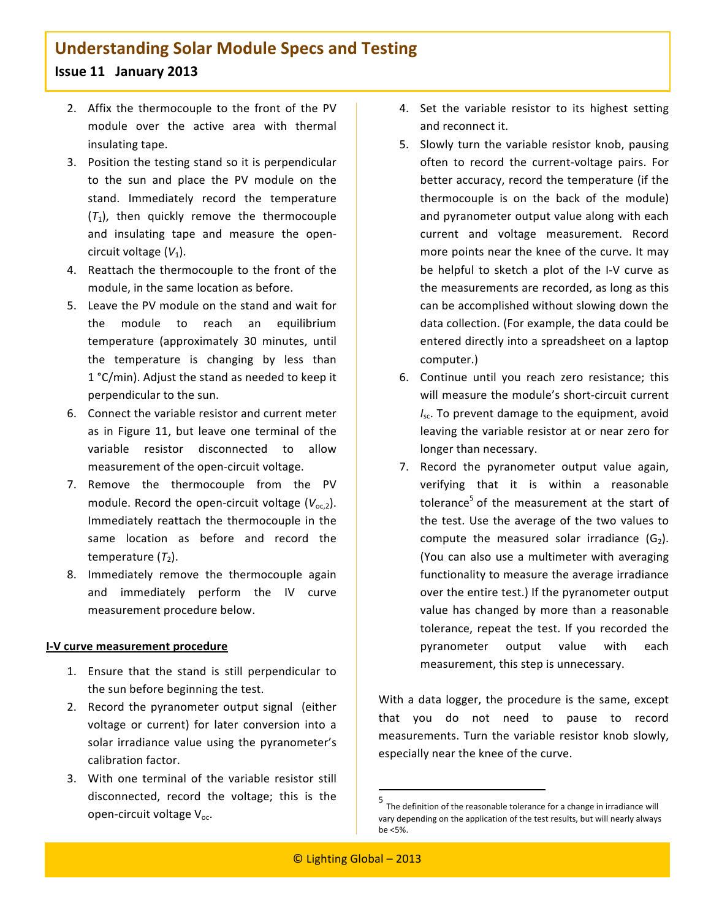- 2. Affix the thermocouple to the front of the PV module
 over
 the
 active
 area
 with
 thermal insulating
tape.
- 3. Position
the
testing
stand
so
it
is
perpendicular to the sun and place the PV module on the stand. Immediately
 record
 the
 temperature  $(T_1)$ , then quickly remove the thermocouple and
 insulating
 tape
 and
 measure
 the
 open‐ circuit voltage (V<sub>1</sub>).
- 4. Reattach the thermocouple to the front of the module,
in
the
same
location
as
before.
- 5. Leave
the
PV
module
on
the
stand
and
wait
for the
 module
 to
 reach
 an
 equilibrium temperature
 (approximately
 30
 minutes,
 until the
 temperature
 is
 changing
 by
 less
 than 1 °C/min). Adjust the stand as needed to keep it perpendicular
to
the
sun.
- 6. Connect
the
variable
resistor
and
current meter as
 in Figure 11,
 but
 leave
 one
 terminal
 of
 the variable
 resistor
 disconnected
 to
 allow measurement
of
the
open‐circuit
voltage.
- 7. Remove the thermocouple from the PV module. Record the open-circuit voltage (V<sub>oc,2</sub>). Immediately reattach the thermocouple in the same
 location
 as
 before
 and
 record
 the temperature (*T*<sub>2</sub>).
- 8. Immediately remove the thermocouple again and
 immediately perform
 the
 IV
 curve measurement
procedure
below.

#### **I‐V
curve
measurement
procedure**

- 1. Ensure that the stand is still perpendicular to the
sun
before
beginning
the
test.
- 2. Record the pyranometer output signal (either voltage or current) for later conversion into a solar irradiance value using the pyranometer's calibration
factor.
- 3. With
 one
 terminal
 of
 the
 variable
 resistor
 still disconnected,
 record
 the
 voltage;
 this
 is
 the open‐circuit
voltage
Voc.
- 4. Set
 the
 variable
 resistor
 to
 its
 highest
 setting and
reconnect
it.
- 5. Slowly
 turn
 the
 variable
 resistor
 knob,
 pausing often
 to
 record
 the
 current‐voltage
 pairs. For better
accuracy,
record
the
temperature
(if
the thermocouple is on the back of the module) and
pyranometer
output
value
along
with
each current
 and
 voltage
 measurement. Record more
points
near
the
knee
of
the
curve. It
may be helpful to sketch a plot of the I-V curve as the
measurements
are
recorded,
as
long
as
this can
be
accomplished
without
slowing
down
the data
collection.
(For
example,
the
data
could
be entered
directly
into
a
spreadsheet
on
a
laptop computer.)
- 6. Continue until you reach zero resistance; this will measure the module's short-circuit current I<sub>sc</sub>. To prevent damage to the equipment, avoid leaving the variable resistor at or near zero for longer
than
necessary.
- 7. Record
 the
 pyranometer
 output
 value
 again, verifying
 that
 it
 is
 within a
 reasonable tolerance<sup>5</sup> of the measurement at the start of the test. Use the average of the two values to compute the measured solar irradiance  $(G_2)$ . (You
 can
also
 use
a
multimeter
with
averaging functionality
to
measure
the
average
irradiance over
the
entire
test.)
If
the
pyranometer
output value
 has
 changed
 by
more
 than a
 reasonable tolerance, repeat the test. If you recorded the pyranometer output value with each measurement,
this
step
is
unnecessary.

With a data logger, the procedure is the same, except that
 you
 do
 not
 need
 to
 pause
 to
 record measurements. Turn the variable resistor knob slowly, especially
near
the
knee
of
the
curve.

<u> 1989 - Johann Stein, fransk politik (d. 1989)</u>

<sup>5</sup> The definition of the reasonable tolerance for a change in irradiance will vary depending on the application of the test results, but will nearly always be
<5%.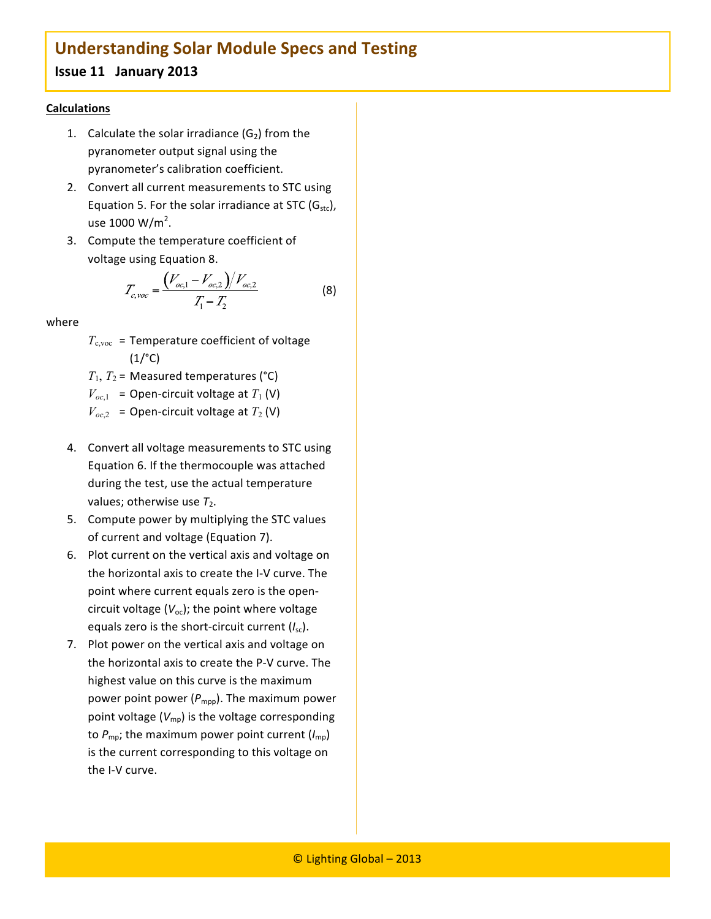### **Issue
11

January
2013**

#### **Calculations**

- 1. Calculate the solar irradiance  $(G_2)$  from the pyranometer
output
signal
using
the pyranometer's
calibration
coefficient.
- 2. Convert
all
current
measurements
to
STC
using Equation 5. For the solar irradiance at STC  $(G<sub>stc</sub>)$ , use 1000 W/m<sup>2</sup>.
- 3. Compute
the
temperature
coefficient
of voltage
using
Equation
8.

$$
T_{c, \text{voc}} = \frac{\left(V_{oc,1} - V_{oc,2}\right)/V_{oc,2}}{T_1 - T_2} \tag{8}
$$

where

 $T_{\text{c,} \text{voc}}$  = Temperature coefficient of voltage  $(1)^{\circ}$ C)

 $T_1$ ,  $T_2$  = Measured temperatures (°C)

 $V_{oc,1}$  = Open-circuit voltage at  $T_1$  (V)

- $V_{oc,2}$  = Open-circuit voltage at  $T_2$  (V)
- 4. Convert
all
voltage
measurements
to
STC
using Equation
6.
If
the
thermocouple
was
attached during
the
test,
use
the
actual
temperature values; otherwise use T<sub>2</sub>.
- 5. Compute
power
by
multiplying
the
STC
values of
current
and
voltage
(Equation
7).
- 6. Plot
current
on
the
vertical
axis
and
voltage
on the
horizontal
axis
to
create
the
I‐V
curve.
The point
where
current
equals
zero
is
the
open‐ circuit voltage (V<sub>oc</sub>); the point where voltage equals zero is the short-circuit current (I<sub>sc</sub>).
- 7. Plot power on the vertical axis and voltage on the
horizontal
axis
to
create
the
P‐V
curve.
The highest
value
on
this
curve
is
the
maximum power point power (P<sub>mpp</sub>). The maximum power point voltage  $(V_{mp})$  is the voltage corresponding to  $P_{\text{mp}}$ ; the maximum power point current  $(I_{\text{mp}})$ is the current corresponding to this voltage on the
I‐V
curve.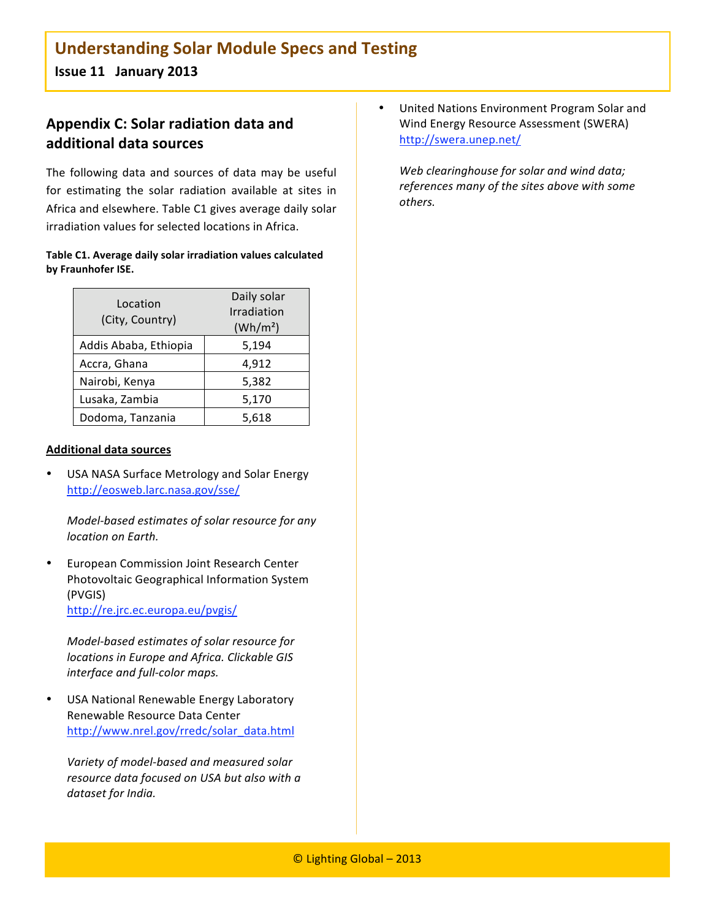### **Appendix
C:
Solar
radiation
data
and additional
data
sources**

The following data and sources of data may be useful for estimating the solar radiation available at sites in Africa
and
elsewhere.
Table
C1
gives
average
daily
solar irradiation
values
for
selected
locations
in
Africa.

#### Table C1. Average daily solar irradiation values calculated **by
Fraunhofer
ISE.**

| Location<br>(City, Country) | Daily solar<br>Irradiation<br>(Wh/m <sup>2</sup> ) |
|-----------------------------|----------------------------------------------------|
| Addis Ababa, Ethiopia       | 5,194                                              |
| Accra, Ghana                | 4,912                                              |
| Nairobi, Kenya              | 5,382                                              |
| Lusaka, Zambia              | 5,170                                              |
| Dodoma, Tanzania            | 5,618                                              |

#### **Additional
data
sources**

USA NASA Surface Metrology and Solar Energy http://eosweb.larc.nasa.gov/sse/

*Model‐based
estimates
of
solar
resource
for
any location
on
Earth.*

European Commission Joint Research Center Photovoltaic
Geographical
Information
System (PVGIS) http://re.jrc.ec.europa.eu/pvgis/

*Model‐based
estimates
of
solar
resource
for locations
in
Europe
and
Africa.
Clickable
GIS interface
and
full‐color
maps.*

USA National Renewable Energy Laboratory Renewable
Resource
Data
Center http://www.nrel.gov/rredc/solar\_data.html

*Variety
of
model‐based
and
measured
solar resource
data
focused
on
USA
but
also
with
a dataset
for
India.*

• United
Nations
Environment
Program
Solar
and Wind
Energy
Resource
Assessment
(SWERA) http://swera.unep.net/

*Web
clearinghouse
for
solar
and
wind
data; references
many
of
the
sites
above
with
some others.*